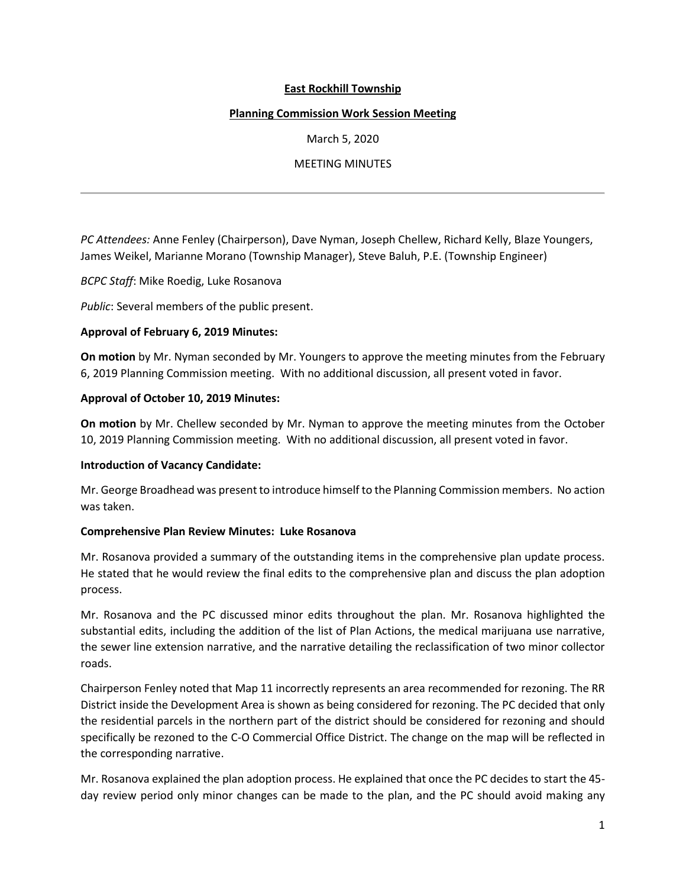## **East Rockhill Township**

#### **Planning Commission Work Session Meeting**

March 5, 2020

## MEETING MINUTES

*PC Attendees:* Anne Fenley (Chairperson), Dave Nyman, Joseph Chellew, Richard Kelly, Blaze Youngers, James Weikel, Marianne Morano (Township Manager), Steve Baluh, P.E. (Township Engineer)

*BCPC Staff*: Mike Roedig, Luke Rosanova

*Public*: Several members of the public present.

#### **Approval of February 6, 2019 Minutes:**

**On motion** by Mr. Nyman seconded by Mr. Youngers to approve the meeting minutes from the February 6, 2019 Planning Commission meeting. With no additional discussion, all present voted in favor.

#### **Approval of October 10, 2019 Minutes:**

**On motion** by Mr. Chellew seconded by Mr. Nyman to approve the meeting minutes from the October 10, 2019 Planning Commission meeting. With no additional discussion, all present voted in favor.

#### **Introduction of Vacancy Candidate:**

Mr. George Broadhead was present to introduce himself to the Planning Commission members. No action was taken.

#### **Comprehensive Plan Review Minutes: Luke Rosanova**

Mr. Rosanova provided a summary of the outstanding items in the comprehensive plan update process. He stated that he would review the final edits to the comprehensive plan and discuss the plan adoption process.

Mr. Rosanova and the PC discussed minor edits throughout the plan. Mr. Rosanova highlighted the substantial edits, including the addition of the list of Plan Actions, the medical marijuana use narrative, the sewer line extension narrative, and the narrative detailing the reclassification of two minor collector roads.

Chairperson Fenley noted that Map 11 incorrectly represents an area recommended for rezoning. The RR District inside the Development Area is shown as being considered for rezoning. The PC decided that only the residential parcels in the northern part of the district should be considered for rezoning and should specifically be rezoned to the C-O Commercial Office District. The change on the map will be reflected in the corresponding narrative.

Mr. Rosanova explained the plan adoption process. He explained that once the PC decides to start the 45 day review period only minor changes can be made to the plan, and the PC should avoid making any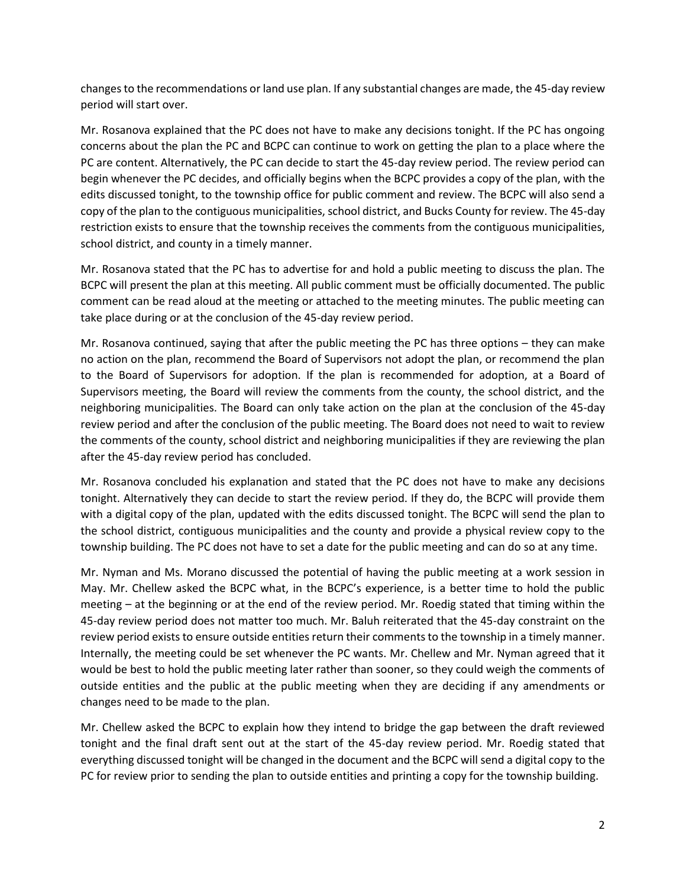changes to the recommendations or land use plan. If any substantial changes are made, the 45-day review period will start over.

Mr. Rosanova explained that the PC does not have to make any decisions tonight. If the PC has ongoing concerns about the plan the PC and BCPC can continue to work on getting the plan to a place where the PC are content. Alternatively, the PC can decide to start the 45-day review period. The review period can begin whenever the PC decides, and officially begins when the BCPC provides a copy of the plan, with the edits discussed tonight, to the township office for public comment and review. The BCPC will also send a copy of the plan to the contiguous municipalities, school district, and Bucks County for review. The 45-day restriction exists to ensure that the township receives the comments from the contiguous municipalities, school district, and county in a timely manner.

Mr. Rosanova stated that the PC has to advertise for and hold a public meeting to discuss the plan. The BCPC will present the plan at this meeting. All public comment must be officially documented. The public comment can be read aloud at the meeting or attached to the meeting minutes. The public meeting can take place during or at the conclusion of the 45-day review period.

Mr. Rosanova continued, saying that after the public meeting the PC has three options – they can make no action on the plan, recommend the Board of Supervisors not adopt the plan, or recommend the plan to the Board of Supervisors for adoption. If the plan is recommended for adoption, at a Board of Supervisors meeting, the Board will review the comments from the county, the school district, and the neighboring municipalities. The Board can only take action on the plan at the conclusion of the 45-day review period and after the conclusion of the public meeting. The Board does not need to wait to review the comments of the county, school district and neighboring municipalities if they are reviewing the plan after the 45-day review period has concluded.

Mr. Rosanova concluded his explanation and stated that the PC does not have to make any decisions tonight. Alternatively they can decide to start the review period. If they do, the BCPC will provide them with a digital copy of the plan, updated with the edits discussed tonight. The BCPC will send the plan to the school district, contiguous municipalities and the county and provide a physical review copy to the township building. The PC does not have to set a date for the public meeting and can do so at any time.

Mr. Nyman and Ms. Morano discussed the potential of having the public meeting at a work session in May. Mr. Chellew asked the BCPC what, in the BCPC's experience, is a better time to hold the public meeting – at the beginning or at the end of the review period. Mr. Roedig stated that timing within the 45-day review period does not matter too much. Mr. Baluh reiterated that the 45-day constraint on the review period exists to ensure outside entities return their comments to the township in a timely manner. Internally, the meeting could be set whenever the PC wants. Mr. Chellew and Mr. Nyman agreed that it would be best to hold the public meeting later rather than sooner, so they could weigh the comments of outside entities and the public at the public meeting when they are deciding if any amendments or changes need to be made to the plan.

Mr. Chellew asked the BCPC to explain how they intend to bridge the gap between the draft reviewed tonight and the final draft sent out at the start of the 45-day review period. Mr. Roedig stated that everything discussed tonight will be changed in the document and the BCPC will send a digital copy to the PC for review prior to sending the plan to outside entities and printing a copy for the township building.